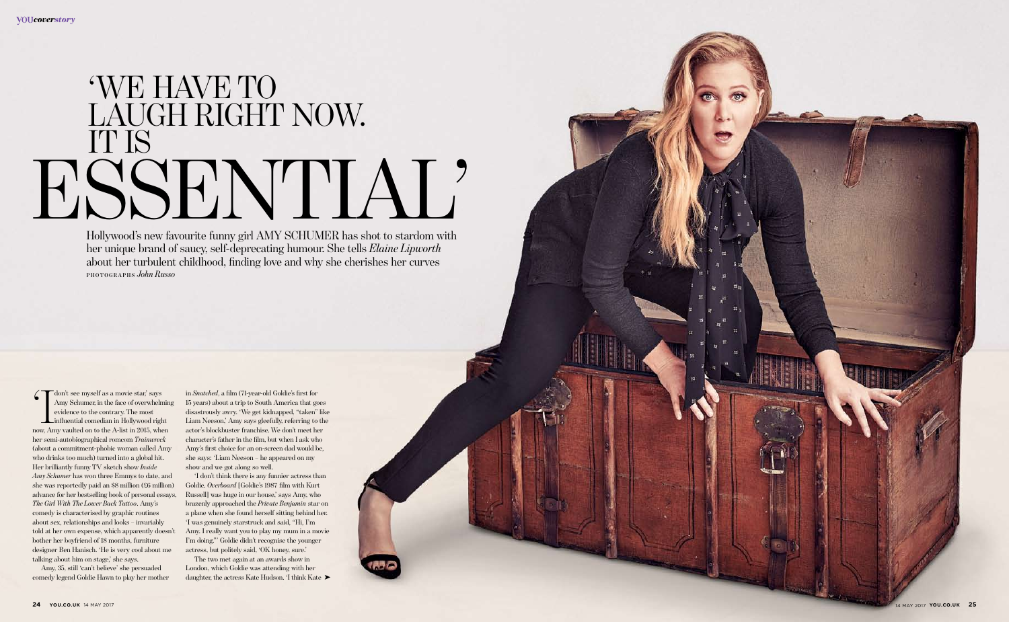# 'WE HAVET LAUGH RIGHT NOW. IT IS ESSENTIAL'

Hollywood's new favourite funny girl AMY SCHUMER has shot to stardom with her unique brand of saucy, self-deprecating humour. She tells *Elaine Lipworth* about her turbulent childhood, finding love and why she cherishes her curves **P h o t o g r a ph S** *John Russo*

 $\fbox{\parbox{10cm}{ \begin{tabular}{c} \multicolumn{2}{c}{\quad \quad} \multicolumn{2}{c}{\quad \quad} \multicolumn{2}{c}{\quad \quad} \multicolumn{2}{c}{\quad \quad} \multicolumn{2}{c}{\quad \quad} \multicolumn{2}{c}{\quad \quad} \multicolumn{2}{c}{\quad \quad} \multicolumn{2}{c}{\quad \quad} \multicolumn{2}{c}{\quad \quad} \multicolumn{2}{c}{\quad \quad} \multicolumn{2}{c}{\quad \quad} \multicolumn{2}{c}{\quad \quad} \multicolumn{2}{c}{\quad \quad} \multicolumn{2}{c}{\quad \quad} \multicolumn{2}{$ don't see myself as a movie star,' says Amy Schumer, in the face of overwhelming evidence to the contrary. The most influential comedian in Hollywood right her semi-autobiographical romcom *Trainwreck* (about a commitment-phobic woman called Amy who drinks too much) turned into a global hit. Her brilliantly funny TV sketch show *Inside Amy Schumer* has won three Emmys to date, and she was reportedly paid an \$8 million (£6 million) advance for her bestselling book of personal essays, *The Girl With The Lower Back Tattoo*. Amy's comedy is characterised by graphic routines about sex, relationships and looks – invariably told at her own expense, which apparently doesn't bother her boyfriend of 18 months, furniture designer Ben Hanisch. 'He is very cool about me talking about him on stage,' she says.

The two met again at an awards show in London, which Goldie was attending with her daughter, the actress Kate Hudson. T think Kate  $\blacktriangleright$ 

Amy, 35, still 'can't believe' she persuaded comedy legend Goldie Hawn to play her mother

in *Snatched*, a film (71-year-old Goldie's first for 15 years) about a trip to South America that goes disastrously awry. 'We get kidnapped, "taken" like Liam Neeson,' Amy says gleefully, referring to the actor's blockbuster franchise. We don't meet her character's father in the film, but when I ask who Amy's first choice for an on-screen dad would be, she says: 'Liam Neeson – he appeared on my show and we got along so well.

'I don't think there is any funnier actress than Goldie. *Overboard* [Goldie's 1987 film with Kurt Russell] was huge in our house,' says Amy, who brazenly approached the *Private Benjamin* star on a plane when she found herself sitting behind her. 'I was genuinely starstruck and said, "Hi, I'm Amy. I really want you to play my mum in a movie I'm doing."' Goldie didn't recognise the younger actress, but politely said, 'OK honey, sure.'

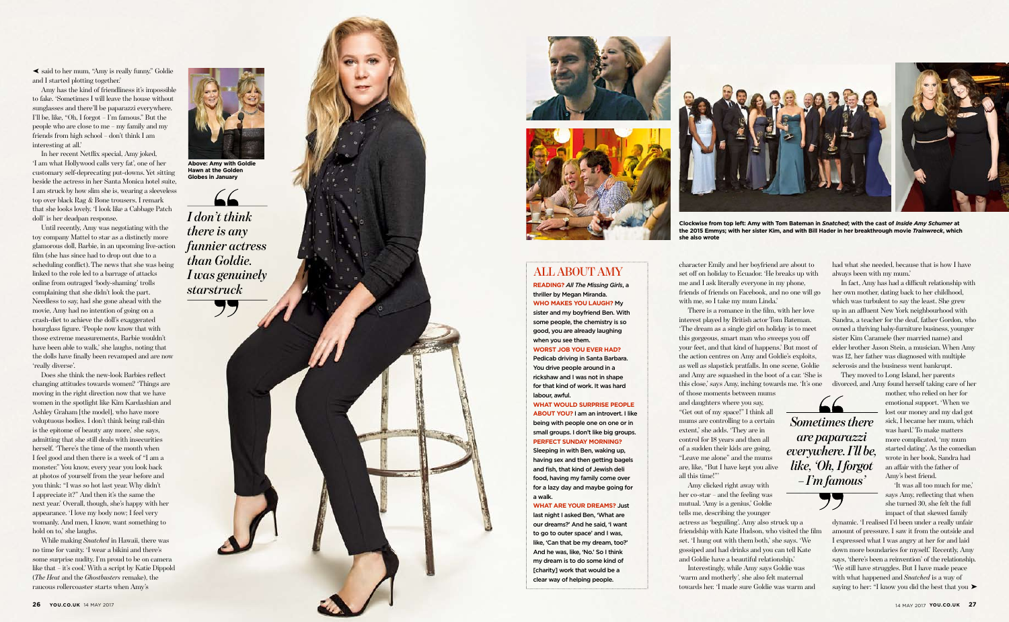said to her mum, "Amy is really funny." Goldie ➤ and I started plotting together.'

Amy has the kind of friendliness it's impossible to fake. 'Sometimes I will leave the house without sunglasses and there'll be paparazzi everywhere. I'll be, like, "Oh, I forgot – I'm famous." But the people who are close to me – my family and my friends from high school – don't think I am interesting at all.'

In her recent Netflix special, Amy joked, 'I am what Hollywood calls very fat', one of her customary self-deprecating put-downs. Yet sitting beside the actress in her Santa Monica hotel suite, I am struck by how slim she is, wearing a sleeveless top over black Rag & Bone trousers. I remark that she looks lovely. 'I look like a Cabbage Patch doll' is her deadpan response.

Until recently, Amy was negotiating with the toy company Mattel to star as a distinctly more glamorous doll, Barbie, in an upcoming live-action film (she has since had to drop out due to a scheduling conflict). The news that she was being linked to the role led to a barrage of attacks online from outraged 'body-shaming' trolls complaining that she didn't look the part. Needless to say, had she gone ahead with the movie, Amy had no intention of going on a crash-diet to achieve the doll's exaggerated hourglass figure. 'People now know that with those extreme measurements, Barbie wouldn't have been able to walk,' she laughs, noting that the dolls have finally been revamped and are now 'really diverse'.

Does she think the new-look Barbies reflect. changing attitudes towards women? 'Things are moving in the right direction now that we have women in the spotlight like Kim Kardashian and Ashley Graham [the model], who have more voluptuous bodies. I don't think being rail-thin is the epitome of beauty any more,' she says, admitting that she still deals with insecurities herself. 'There's the time of the month when I feel good and then there is a week of "I am a monster." You know, every year you look back at photos of yourself from the year before and you think: "I was so hot last year. Why didn't I appreciate it?" And then it's the same the next year.' Overall, though, she's happy with her appearance. 'I love my body now; I feel very womanly. And men, I know, want something to hold on to,' she laughs.

While making *Snatched* in Hawaii, there was no time for vanity. 'I wear a bikini and there's some surprise nudity. I'm proud to be on camera like that – it's cool.' With a script by Katie Dippold (*The Heat* and the *Ghostbusters* remake), the raucous rollercoaster starts when Amy's

dynamic. 'I realised I'd been under a really unfair amount of pressure. I saw it from the outside and I expressed what I was angry at her for and laid down more boundaries for myself.' Recently, Amy says, 'there's been a reinvention' of the relationship. 'We still have struggles. But I have made peace with what happened and *Snatched* is a way of saying to her: "I know you did the best that you ▶

character Emily and her boyfriend are about to set off on holiday to Ecuador. 'He breaks up with me and I ask literally everyone in my phone, friends of friends on Facebook, and no one will go with me, so I take my mum Linda.'

There is a romance in the film, with her love interest played by British actor Tom Bateman. 'The dream as a single girl on holiday is to meet this gorgeous, smart man who sweeps you off your feet, and that kind of happens.' But most of the action centres on Amy and Goldie's exploits, as well as slapstick pratfalls. In one scene, Goldie and Amy are squashed in the boot of a car. 'She is this close,' says Amy, inching towards me. 'It's one

**ABOUT YOU?** I am an introvert. I like being with people one on one or in small groups. I don't like big groups. **Perfect Sunday morning?**

of those moments between mums and daughters where you say, "Get out of my space!" I think all mums are controlling to a certain extent,' she adds. 'They are in control for 18 years and then all of a sudden their kids are going, "Leave me alone" and the mums are, like, "But I have kept you alive all this time!"'

Amy clicked right away with her co-star – and the feeling was mutual. 'Amy is a genius,' Goldie tells me, describing the younger

actress as 'beguiling'. Amy also struck up a friendship with Kate Hudson, who visited the film set. 'I hung out with them both,' she says. 'We gossiped and had drinks and you can tell Kate and Goldie have a beautiful relationship.' Interestingly, while Amy says Goldie was 'warm and motherly', she also felt maternal towards her. 'I made sure Goldie was warm and

had what she needed, because that is how I have always been with my mum.'

In fact, Amy has had a difficult relationship with her own mother, dating back to her childhood, which was turbulent to say the least. She grew up in an affluent New York neighbourhood with Sandra, a teacher for the deaf, father Gordon, who owned a thriving baby-furniture business, younger sister Kim Caramele (her married name) and elder brother Jason Stein, a musician. When Amy was 12, her father was diagnosed with multiple sclerosis and the business went bankrupt.

They moved to Long Island, her parents divorced, and Amy found herself taking care of her

> mother, who relied on her for emotional support. 'When we lost our money and my dad got sick, I became her mum, which was hard.' To make matters more complicated, 'my mum started dating'. As the comedian wrote in her book, Sandra had an affair with the father of Amy's best friend.

'It was all too much for me,' says Amy, reflecting that when she turned 30, she felt the full impact of that skewed family

**reading?** *All The Missing Girls*, a thriller by Megan Miranda. **Who makes you laugh?** My

sister and my boyfriend Ben. With some people, the chemistry is so good, you are already laughing when you see them.

#### **Worst job you ever had?**

Pedicab driving in Santa Barbara. You drive people around in a rickshaw and I was not in shape for that kind of work. It was hard labour, awful.

#### **What would surprise people**

Sleeping in with Ben, waking up, having sex and then getting bagels and fish, that kind of Jewish deli food, having my family come over for a lazy day and maybe going for a walk.

### **WHAT ARE YOUR DREAMS? Just**

last night I asked Ben, 'What are our dreams?' And he said, 'I want to go to outer space' and I was, like, 'Can that be my dream, too?' And he was, like, 'No.' So I think my dream is to do some kind of [charity] work that would be a clear way of helping people.

*I don't think there is any funnier actress than Goldie. I was genuinely starstruck*

77







*Sometimes there are paparazzi everywhere. I'll be, like, 'Oh, I forgot – I'm famous'*



**Clockwise from top left: Amy with Tom Bateman in** *Snatched***; with the cast of** *Inside Amy Schumer* **at the 2015 Emmys; with her sister Kim, and with Bill Hader in her breakthrough movie** *Trainwreck***, which she also wrote**



**Above: Amy with Goldie Hawn at the Golden Globes in January**



## **ALL AB O U T AMY**